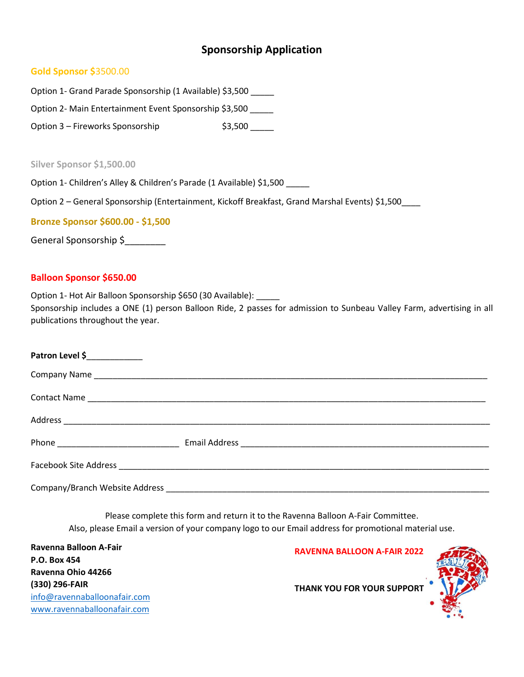# **Sponsorship Application**

# **Gold Sponsor \$**3500.00

Option 1- Grand Parade Sponsorship (1 Available) \$3,500

Option 2- Main Entertainment Event Sponsorship \$3,500 \_\_\_\_\_

Option 3 – Fireworks Sponsorship  $$3,500$  \_\_\_\_\_

**Silver Sponsor \$1,500.00**

Option 1- Children's Alley & Children's Parade (1 Available) \$1,500 \_\_\_\_\_

Option 2 - General Sponsorship (Entertainment, Kickoff Breakfast, Grand Marshal Events) \$1,500\_\_\_\_

**Bronze Sponsor \$600.00 - \$1,500**

General Sponsorship \$

# **Balloon Sponsor \$650.00**

Option 1- Hot Air Balloon Sponsorship \$650 (30 Available): \_\_\_\_\_ Sponsorship includes a ONE (1) person Balloon Ride, 2 passes for admission to Sunbeau Valley Farm, advertising in all publications throughout the year.

| Patron Level \$_____________   |  |
|--------------------------------|--|
|                                |  |
|                                |  |
|                                |  |
|                                |  |
|                                |  |
| Company/Branch Website Address |  |

Please complete this form and return it to the Ravenna Balloon A-Fair Committee. Also, please Email a version of your company logo to our Email address for promotional material use.

**Ravenna Balloon A-Fair P.O. Box 454 Ravenna Ohio 44266 (330) 296-FAIR** [info@ravennaballoonafair.com](mailto:info@ravennaballoonafair.com) [www.ravennaballoonafair.com](http://www.ravennaballoonafair.com/)

**RAVENNA BALLOON A-FAIR 2022**



**THANK YOU FOR YOUR SUPPORT**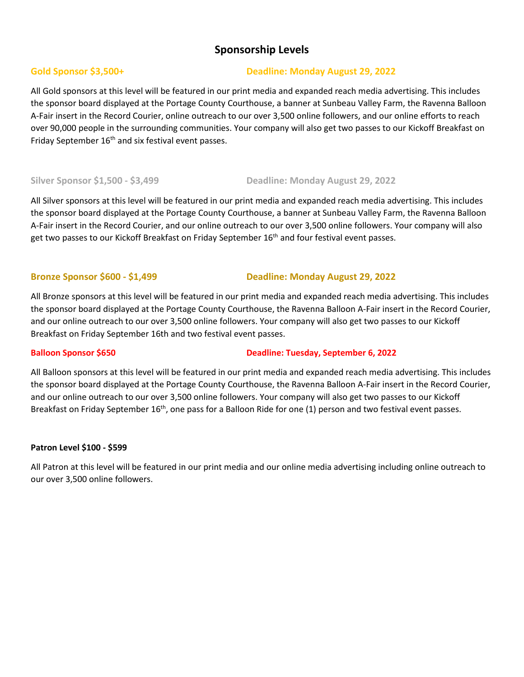# **Sponsorship Levels**

# **Gold Sponsor \$3,500+ Deadline: Monday August 29, 2022**

All Gold sponsors at this level will be featured in our print media and expanded reach media advertising. This includes the sponsor board displayed at the Portage County Courthouse, a banner at Sunbeau Valley Farm, the Ravenna Balloon A-Fair insert in the Record Courier, online outreach to our over 3,500 online followers, and our online efforts to reach over 90,000 people in the surrounding communities. Your company will also get two passes to our Kickoff Breakfast on Friday September 16<sup>th</sup> and six festival event passes.

**Silver Sponsor \$1,500 - \$3,499 Deadline: Monday August 29, 2022**

All Silver sponsors at this level will be featured in our print media and expanded reach media advertising. This includes the sponsor board displayed at the Portage County Courthouse, a banner at Sunbeau Valley Farm, the Ravenna Balloon A-Fair insert in the Record Courier, and our online outreach to our over 3,500 online followers. Your company will also get two passes to our Kickoff Breakfast on Friday September 16<sup>th</sup> and four festival event passes.

### **Bronze Sponsor \$600 - \$1,499 Deadline: Monday August 29, 2022**

All Bronze sponsors at this level will be featured in our print media and expanded reach media advertising. This includes the sponsor board displayed at the Portage County Courthouse, the Ravenna Balloon A-Fair insert in the Record Courier, and our online outreach to our over 3,500 online followers. Your company will also get two passes to our Kickoff Breakfast on Friday September 16th and two festival event passes.

### **Balloon Sponsor \$650 Deadline: Tuesday, September 6, 2022**

All Balloon sponsors at this level will be featured in our print media and expanded reach media advertising. This includes the sponsor board displayed at the Portage County Courthouse, the Ravenna Balloon A-Fair insert in the Record Courier, and our online outreach to our over 3,500 online followers. Your company will also get two passes to our Kickoff Breakfast on Friday September 16<sup>th</sup>, one pass for a Balloon Ride for one (1) person and two festival event passes.

### **Patron Level \$100 - \$599**

All Patron at this level will be featured in our print media and our online media advertising including online outreach to our over 3,500 online followers.